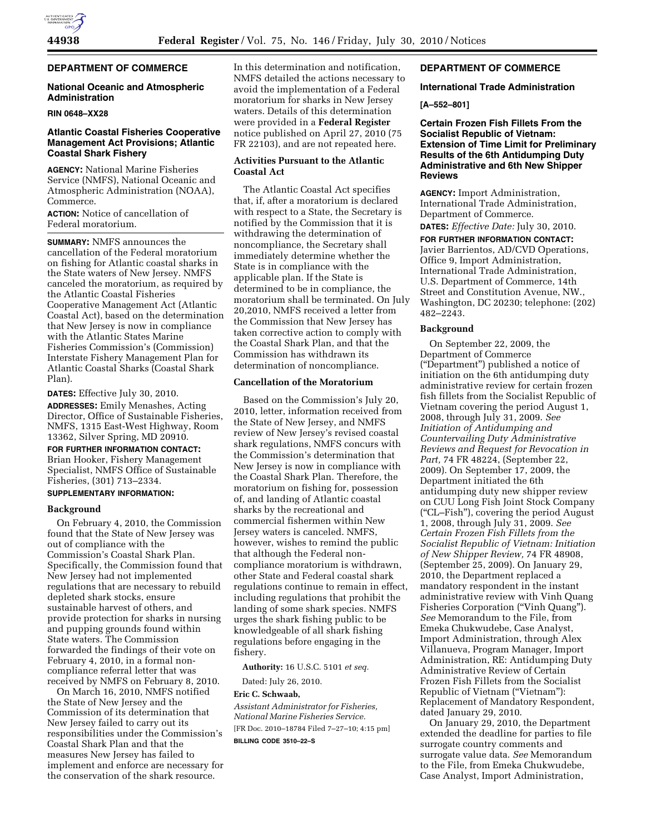## **DEPARTMENT OF COMMERCE**

## **National Oceanic and Atmospheric Administration**

#### **RIN 0648–XX28**

## **Atlantic Coastal Fisheries Cooperative Management Act Provisions; Atlantic Coastal Shark Fishery**

**AGENCY:** National Marine Fisheries Service (NMFS), National Oceanic and Atmospheric Administration (NOAA), Commerce.

**ACTION:** Notice of cancellation of Federal moratorium.

**SUMMARY:** NMFS announces the cancellation of the Federal moratorium on fishing for Atlantic coastal sharks in the State waters of New Jersey. NMFS canceled the moratorium, as required by the Atlantic Coastal Fisheries Cooperative Management Act (Atlantic Coastal Act), based on the determination that New Jersey is now in compliance with the Atlantic States Marine Fisheries Commission's (Commission) Interstate Fishery Management Plan for Atlantic Coastal Sharks (Coastal Shark Plan).

**DATES:** Effective July 30, 2010.

**ADDRESSES:** Emily Menashes, Acting Director, Office of Sustainable Fisheries, NMFS, 1315 East-West Highway, Room 13362, Silver Spring, MD 20910.

# **FOR FURTHER INFORMATION CONTACT:**

Brian Hooker, Fishery Management Specialist, NMFS Office of Sustainable Fisheries, (301) 713–2334.

# **SUPPLEMENTARY INFORMATION:**

### **Background**

On February 4, 2010, the Commission found that the State of New Jersey was out of compliance with the Commission's Coastal Shark Plan. Specifically, the Commission found that New Jersey had not implemented regulations that are necessary to rebuild depleted shark stocks, ensure sustainable harvest of others, and provide protection for sharks in nursing and pupping grounds found within State waters. The Commission forwarded the findings of their vote on February 4, 2010, in a formal noncompliance referral letter that was received by NMFS on February 8, 2010.

On March 16, 2010, NMFS notified the State of New Jersey and the Commission of its determination that New Jersey failed to carry out its responsibilities under the Commission's Coastal Shark Plan and that the measures New Jersey has failed to implement and enforce are necessary for the conservation of the shark resource.

In this determination and notification, NMFS detailed the actions necessary to avoid the implementation of a Federal moratorium for sharks in New Jersey waters. Details of this determination were provided in a **Federal Register**  notice published on April 27, 2010 (75 FR 22103), and are not repeated here.

## **Activities Pursuant to the Atlantic Coastal Act**

The Atlantic Coastal Act specifies that, if, after a moratorium is declared with respect to a State, the Secretary is notified by the Commission that it is withdrawing the determination of noncompliance, the Secretary shall immediately determine whether the State is in compliance with the applicable plan. If the State is determined to be in compliance, the moratorium shall be terminated. On July 20,2010, NMFS received a letter from the Commission that New Jersey has taken corrective action to comply with the Coastal Shark Plan, and that the Commission has withdrawn its determination of noncompliance.

## **Cancellation of the Moratorium**

Based on the Commission's July 20, 2010, letter, information received from the State of New Jersey, and NMFS review of New Jersey's revised coastal shark regulations, NMFS concurs with the Commission's determination that New Jersey is now in compliance with the Coastal Shark Plan. Therefore, the moratorium on fishing for, possession of, and landing of Atlantic coastal sharks by the recreational and commercial fishermen within New Jersey waters is canceled. NMFS, however, wishes to remind the public that although the Federal noncompliance moratorium is withdrawn, other State and Federal coastal shark regulations continue to remain in effect, including regulations that prohibit the landing of some shark species. NMFS urges the shark fishing public to be knowledgeable of all shark fishing regulations before engaging in the fishery.

**Authority:** 16 U.S.C. 5101 *et seq.* 

Dated: July 26, 2010.

### **Eric C. Schwaab,**

*Assistant Administrator for Fisheries, National Marine Fisheries Service.*  [FR Doc. 2010–18784 Filed 7–27–10; 4:15 pm] **BILLING CODE 3510–22–S** 

## **DEPARTMENT OF COMMERCE**

#### **International Trade Administration**

## **[A–552–801]**

**Certain Frozen Fish Fillets From the Socialist Republic of Vietnam: Extension of Time Limit for Preliminary Results of the 6th Antidumping Duty Administrative and 6th New Shipper Reviews** 

**AGENCY:** Import Administration, International Trade Administration, Department of Commerce.

**DATES:** *Effective Date:* July 30, 2010.

**FOR FURTHER INFORMATION CONTACT:**  Javier Barrientos, AD/CVD Operations, Office 9, Import Administration, International Trade Administration, U.S. Department of Commerce, 14th Street and Constitution Avenue, NW., Washington, DC 20230; telephone: (202) 482–2243.

## **Background**

On September 22, 2009, the Department of Commerce (''Department'') published a notice of initiation on the 6th antidumping duty administrative review for certain frozen fish fillets from the Socialist Republic of Vietnam covering the period August 1, 2008, through July 31, 2009. *See Initiation of Antidumping and Countervailing Duty Administrative Reviews and Request for Revocation in Part,* 74 FR 48224, (September 22, 2009). On September 17, 2009, the Department initiated the 6th antidumping duty new shipper review on CUU Long Fish Joint Stock Company (''CL–Fish''), covering the period August 1, 2008, through July 31, 2009. *See Certain Frozen Fish Fillets from the Socialist Republic of Vietnam: Initiation of New Shipper Review,* 74 FR 48908, (September 25, 2009). On January 29, 2010, the Department replaced a mandatory respondent in the instant administrative review with Vinh Quang Fisheries Corporation (''Vinh Quang''). *See* Memorandum to the File, from Emeka Chukwudebe, Case Analyst, Import Administration, through Alex Villanueva, Program Manager, Import Administration, RE: Antidumping Duty Administrative Review of Certain Frozen Fish Fillets from the Socialist Republic of Vietnam (''Vietnam''): Replacement of Mandatory Respondent, dated January 29, 2010.

On January 29, 2010, the Department extended the deadline for parties to file surrogate country comments and surrogate value data. *See* Memorandum to the File, from Emeka Chukwudebe, Case Analyst, Import Administration,